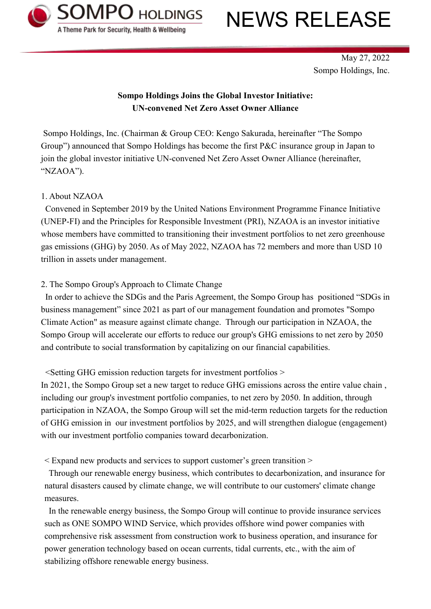

# NEWS RELEASE

May 27, 2022 Sompo Holdings, Inc.

# **Sompo Holdings Joins the Global Investor Initiative: UN-convened Net Zero Asset Owner Alliance**

Sompo Holdings, Inc. (Chairman & Group CEO: Kengo Sakurada, hereinafter "The Sompo Group") announced that Sompo Holdings has become the first P&C insurance group in Japan to join the global investor initiative UN-convened Net Zero Asset Owner Alliance (hereinafter, "NZAOA").

## 1. About NZAOA

Convened in September 2019 by the United Nations Environment Programme Finance Initiative (UNEP-FI) and the Principles for Responsible Investment (PRI), NZAOA is an investor initiative whose members have committed to transitioning their investment portfolios to net zero greenhouse gas emissions (GHG) by 2050. As of May 2022, NZAOA has 72 members and more than USD 10 trillion in assets under management.

## 2. The Sompo Group's Approach to Climate Change

In order to achieve the SDGs and the Paris Agreement, the Sompo Group has positioned "SDGs in business management" since 2021 as part of our management foundation and promotes "Sompo Climate Action" as measure against climate change. Through our participation in NZAOA, the Sompo Group will accelerate our efforts to reduce our group's GHG emissions to net zero by 2050 and contribute to social transformation by capitalizing on our financial capabilities.

## <Setting GHG emission reduction targets for investment portfolios >

In 2021, the Sompo Group set a new target to reduce GHG emissions across the entire value chain , including our group's investment portfolio companies, to net zero by 2050. In addition, through participation in NZAOA, the Sompo Group will set the mid-term reduction targets for the reduction of GHG emission in our investment portfolios by 2025, and will strengthen dialogue (engagement) with our investment portfolio companies toward decarbonization.

< Expand new products and services to support customer's green transition >

Through our renewable energy business, which contributes to decarbonization, and insurance for natural disasters caused by climate change, we will contribute to our customers' climate change measures.

In the renewable energy business, the Sompo Group will continue to provide insurance services such as ONE SOMPO WIND Service, which provides offshore wind power companies with comprehensive risk assessment from construction work to business operation, and insurance for power generation technology based on ocean currents, tidal currents, etc., with the aim of stabilizing offshore renewable energy business.